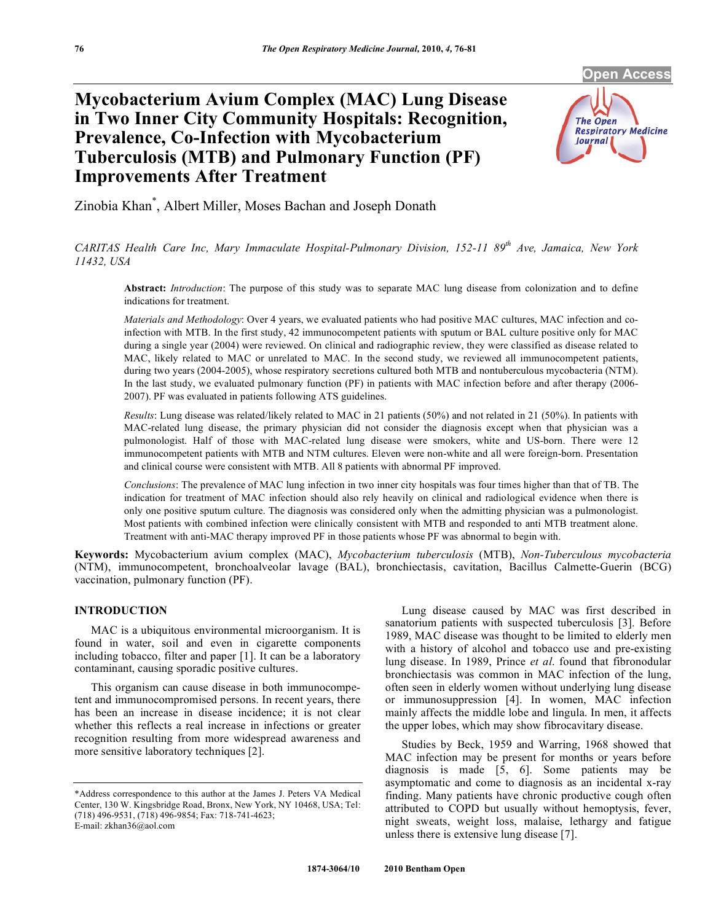**Open Access** 

# **Mycobacterium Avium Complex (MAC) Lung Disease in Two Inner City Community Hospitals: Recognition, Prevalence, Co-Infection with Mycobacterium Tuberculosis (MTB) and Pulmonary Function (PF) Improvements After Treatment**



Zinobia Khan\* , Albert Miller, Moses Bachan and Joseph Donath

*CARITAS Health Care Inc, Mary Immaculate Hospital-Pulmonary Division, 152-11 89th Ave, Jamaica, New York 11432, USA* 

**Abstract:** *Introduction*: The purpose of this study was to separate MAC lung disease from colonization and to define indications for treatment.

*Materials and Methodology*: Over 4 years, we evaluated patients who had positive MAC cultures, MAC infection and coinfection with MTB. In the first study, 42 immunocompetent patients with sputum or BAL culture positive only for MAC during a single year (2004) were reviewed. On clinical and radiographic review, they were classified as disease related to MAC, likely related to MAC or unrelated to MAC. In the second study, we reviewed all immunocompetent patients, during two years (2004-2005), whose respiratory secretions cultured both MTB and nontuberculous mycobacteria (NTM). In the last study, we evaluated pulmonary function (PF) in patients with MAC infection before and after therapy (2006- 2007). PF was evaluated in patients following ATS guidelines.

*Results*: Lung disease was related/likely related to MAC in 21 patients (50%) and not related in 21 (50%). In patients with MAC-related lung disease, the primary physician did not consider the diagnosis except when that physician was a pulmonologist. Half of those with MAC-related lung disease were smokers, white and US-born. There were 12 immunocompetent patients with MTB and NTM cultures. Eleven were non-white and all were foreign-born. Presentation and clinical course were consistent with MTB. All 8 patients with abnormal PF improved.

*Conclusions*: The prevalence of MAC lung infection in two inner city hospitals was four times higher than that of TB. The indication for treatment of MAC infection should also rely heavily on clinical and radiological evidence when there is only one positive sputum culture. The diagnosis was considered only when the admitting physician was a pulmonologist. Most patients with combined infection were clinically consistent with MTB and responded to anti MTB treatment alone. Treatment with anti-MAC therapy improved PF in those patients whose PF was abnormal to begin with.

**Keywords:** Mycobacterium avium complex (MAC), *Mycobacterium tuberculosis* (MTB), *Non-Tuberculous mycobacteria* (NTM), immunocompetent, bronchoalveolar lavage (BAL), bronchiectasis, cavitation, Bacillus Calmette-Guerin (BCG) vaccination, pulmonary function (PF).

## **INTRODUCTION**

 MAC is a ubiquitous environmental microorganism. It is found in water, soil and even in cigarette components including tobacco, filter and paper [1]. It can be a laboratory contaminant, causing sporadic positive cultures.

 This organism can cause disease in both immunocompetent and immunocompromised persons. In recent years, there has been an increase in disease incidence; it is not clear whether this reflects a real increase in infections or greater recognition resulting from more widespread awareness and more sensitive laboratory techniques [2].

 Lung disease caused by MAC was first described in sanatorium patients with suspected tuberculosis [3]. Before 1989, MAC disease was thought to be limited to elderly men with a history of alcohol and tobacco use and pre-existing lung disease. In 1989, Prince *et al*. found that fibronodular bronchiectasis was common in MAC infection of the lung, often seen in elderly women without underlying lung disease or immunosuppression [4]. In women, MAC infection mainly affects the middle lobe and lingula. In men, it affects the upper lobes, which may show fibrocavitary disease.

 Studies by Beck, 1959 and Warring, 1968 showed that MAC infection may be present for months or years before diagnosis is made [5, 6]. Some patients may be asymptomatic and come to diagnosis as an incidental x-ray finding. Many patients have chronic productive cough often attributed to COPD but usually without hemoptysis, fever, night sweats, weight loss, malaise, lethargy and fatigue unless there is extensive lung disease [7].

<sup>\*</sup>Address correspondence to this author at the James J. Peters VA Medical Center, 130 W. Kingsbridge Road, Bronx, New York, NY 10468, USA; Tel: (718) 496-9531, (718) 496-9854; Fax: 718-741-4623; E-mail: zkhan36@aol.com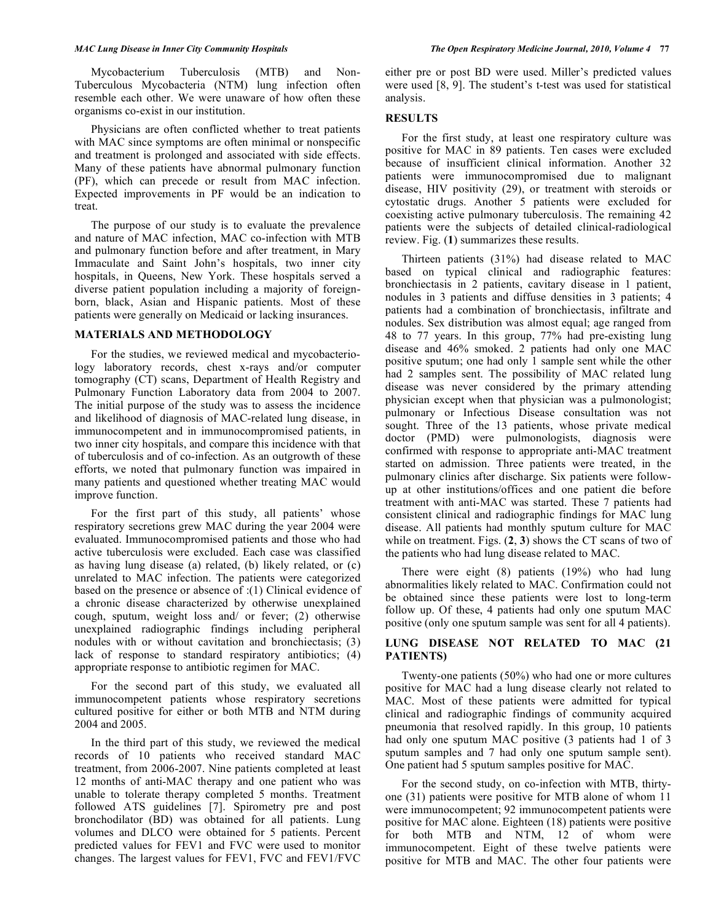Mycobacterium Tuberculosis (MTB) and Non-Tuberculous Mycobacteria (NTM) lung infection often resemble each other. We were unaware of how often these organisms co-exist in our institution.

 Physicians are often conflicted whether to treat patients with MAC since symptoms are often minimal or nonspecific and treatment is prolonged and associated with side effects. Many of these patients have abnormal pulmonary function (PF), which can precede or result from MAC infection. Expected improvements in PF would be an indication to treat.

 The purpose of our study is to evaluate the prevalence and nature of MAC infection, MAC co-infection with MTB and pulmonary function before and after treatment, in Mary Immaculate and Saint John's hospitals, two inner city hospitals, in Queens, New York. These hospitals served a diverse patient population including a majority of foreignborn, black, Asian and Hispanic patients. Most of these patients were generally on Medicaid or lacking insurances.

#### **MATERIALS AND METHODOLOGY**

 For the studies, we reviewed medical and mycobacteriology laboratory records, chest x-rays and/or computer tomography (CT) scans, Department of Health Registry and Pulmonary Function Laboratory data from 2004 to 2007. The initial purpose of the study was to assess the incidence and likelihood of diagnosis of MAC-related lung disease, in immunocompetent and in immunocompromised patients, in two inner city hospitals, and compare this incidence with that of tuberculosis and of co-infection. As an outgrowth of these efforts, we noted that pulmonary function was impaired in many patients and questioned whether treating MAC would improve function.

 For the first part of this study, all patients' whose respiratory secretions grew MAC during the year 2004 were evaluated. Immunocompromised patients and those who had active tuberculosis were excluded. Each case was classified as having lung disease (a) related, (b) likely related, or (c) unrelated to MAC infection. The patients were categorized based on the presence or absence of :(1) Clinical evidence of a chronic disease characterized by otherwise unexplained cough, sputum, weight loss and/ or fever; (2) otherwise unexplained radiographic findings including peripheral nodules with or without cavitation and bronchiectasis; (3) lack of response to standard respiratory antibiotics; (4) appropriate response to antibiotic regimen for MAC.

 For the second part of this study, we evaluated all immunocompetent patients whose respiratory secretions cultured positive for either or both MTB and NTM during 2004 and 2005.

 In the third part of this study, we reviewed the medical records of 10 patients who received standard MAC treatment, from 2006-2007. Nine patients completed at least 12 months of anti-MAC therapy and one patient who was unable to tolerate therapy completed 5 months. Treatment followed ATS guidelines [7]. Spirometry pre and post bronchodilator (BD) was obtained for all patients. Lung volumes and DLCO were obtained for 5 patients. Percent predicted values for FEV1 and FVC were used to monitor changes. The largest values for FEV1, FVC and FEV1/FVC

either pre or post BD were used. Miller's predicted values were used [8, 9]. The student's t-test was used for statistical analysis.

# **RESULTS**

 For the first study, at least one respiratory culture was positive for MAC in 89 patients. Ten cases were excluded because of insufficient clinical information. Another 32 patients were immunocompromised due to malignant disease, HIV positivity (29), or treatment with steroids or cytostatic drugs. Another 5 patients were excluded for coexisting active pulmonary tuberculosis. The remaining 42 patients were the subjects of detailed clinical-radiological review. Fig. (**1**) summarizes these results.

 Thirteen patients (31%) had disease related to MAC based on typical clinical and radiographic features: bronchiectasis in 2 patients, cavitary disease in 1 patient, nodules in 3 patients and diffuse densities in 3 patients; 4 patients had a combination of bronchiectasis, infiltrate and nodules. Sex distribution was almost equal; age ranged from 48 to 77 years. In this group, 77% had pre-existing lung disease and 46% smoked. 2 patients had only one MAC positive sputum; one had only 1 sample sent while the other had 2 samples sent. The possibility of MAC related lung disease was never considered by the primary attending physician except when that physician was a pulmonologist; pulmonary or Infectious Disease consultation was not sought. Three of the 13 patients, whose private medical doctor (PMD) were pulmonologists, diagnosis were confirmed with response to appropriate anti-MAC treatment started on admission. Three patients were treated, in the pulmonary clinics after discharge. Six patients were followup at other institutions/offices and one patient die before treatment with anti-MAC was started. These 7 patients had consistent clinical and radiographic findings for MAC lung disease. All patients had monthly sputum culture for MAC while on treatment. Figs. (**2**, **3**) shows the CT scans of two of the patients who had lung disease related to MAC.

 There were eight (8) patients (19%) who had lung abnormalities likely related to MAC. Confirmation could not be obtained since these patients were lost to long-term follow up. Of these, 4 patients had only one sputum MAC positive (only one sputum sample was sent for all 4 patients).

# **LUNG DISEASE NOT RELATED TO MAC (21 PATIENTS)**

 Twenty-one patients (50%) who had one or more cultures positive for MAC had a lung disease clearly not related to MAC. Most of these patients were admitted for typical clinical and radiographic findings of community acquired pneumonia that resolved rapidly. In this group, 10 patients had only one sputum MAC positive (3 patients had 1 of 3 sputum samples and 7 had only one sputum sample sent). One patient had 5 sputum samples positive for MAC.

 For the second study, on co-infection with MTB, thirtyone (31) patients were positive for MTB alone of whom 11 were immunocompetent; 92 immunocompetent patients were positive for MAC alone. Eighteen (18) patients were positive for both MTB and NTM, 12 of whom were immunocompetent. Eight of these twelve patients were positive for MTB and MAC. The other four patients were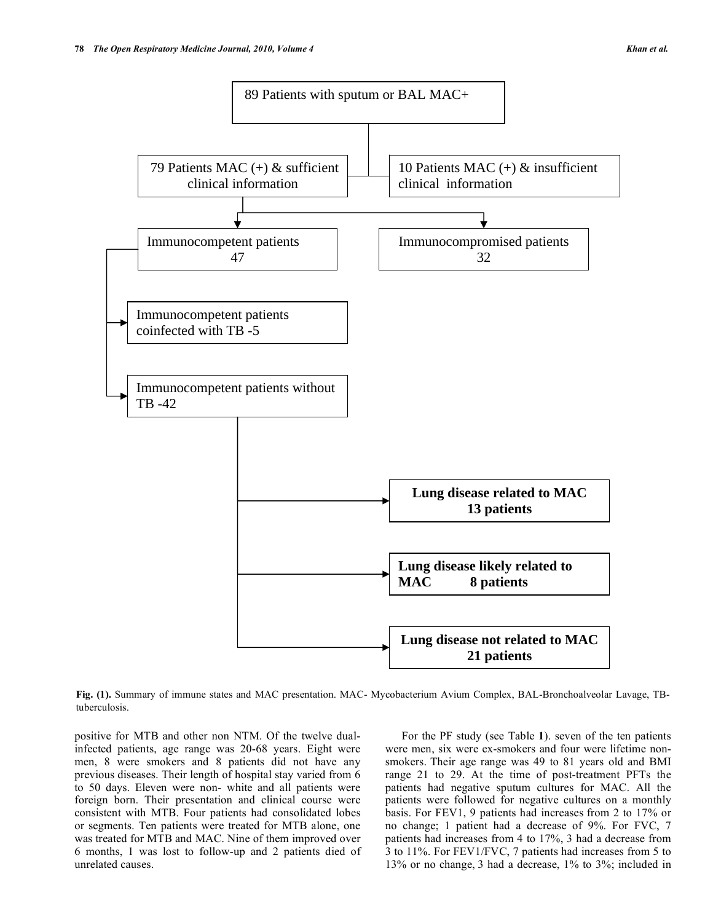

**Fig. (1).** Summary of immune states and MAC presentation. MAC- Mycobacterium Avium Complex, BAL-Bronchoalveolar Lavage, TBtuberculosis.

positive for MTB and other non NTM. Of the twelve dualinfected patients, age range was 20-68 years. Eight were men, 8 were smokers and 8 patients did not have any previous diseases. Their length of hospital stay varied from 6 to 50 days. Eleven were non- white and all patients were foreign born. Their presentation and clinical course were consistent with MTB. Four patients had consolidated lobes or segments. Ten patients were treated for MTB alone, one was treated for MTB and MAC. Nine of them improved over 6 months, 1 was lost to follow-up and 2 patients died of unrelated causes.

 For the PF study (see Table **1**). seven of the ten patients were men, six were ex-smokers and four were lifetime nonsmokers. Their age range was 49 to 81 years old and BMI range 21 to 29. At the time of post-treatment PFTs the patients had negative sputum cultures for MAC. All the patients were followed for negative cultures on a monthly basis. For FEV1, 9 patients had increases from 2 to 17% or no change; 1 patient had a decrease of 9%. For FVC, 7 patients had increases from 4 to 17%, 3 had a decrease from 3 to 11%. For FEV1/FVC, 7 patients had increases from 5 to 13% or no change, 3 had a decrease, 1% to 3%; included in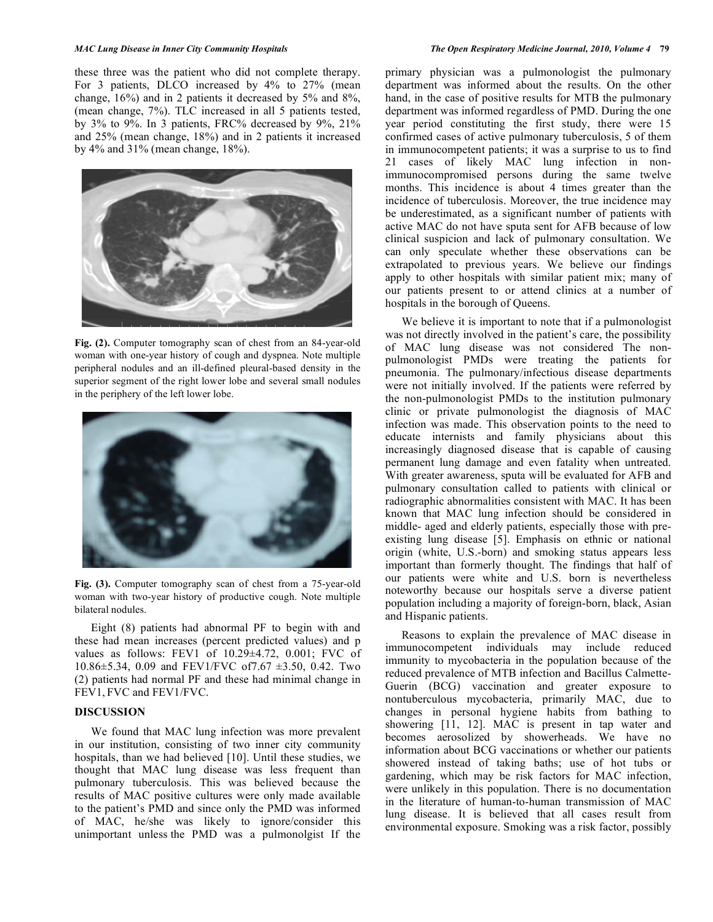these three was the patient who did not complete therapy. For 3 patients, DLCO increased by 4% to 27% (mean change, 16%) and in 2 patients it decreased by 5% and 8%, (mean change, 7%). TLC increased in all 5 patients tested, by 3% to 9%. In 3 patients, FRC% decreased by 9%, 21% and 25% (mean change, 18%) and in 2 patients it increased by 4% and 31% (mean change, 18%).



**Fig. (2).** Computer tomography scan of chest from an 84-year-old woman with one-year history of cough and dyspnea. Note multiple peripheral nodules and an ill-defined pleural-based density in the superior segment of the right lower lobe and several small nodules in the periphery of the left lower lobe.



**Fig. (3).** Computer tomography scan of chest from a 75-year-old woman with two-year history of productive cough. Note multiple bilateral nodules.

 Eight (8) patients had abnormal PF to begin with and these had mean increases (percent predicted values) and p values as follows: FEV1 of 10.29±4.72, 0.001; FVC of 10.86±5.34, 0.09 and FEV1/FVC of7.67 ±3.50, 0.42. Two (2) patients had normal PF and these had minimal change in FEV1, FVC and FEV1/FVC.

## **DISCUSSION**

 We found that MAC lung infection was more prevalent in our institution, consisting of two inner city community hospitals, than we had believed [10]. Until these studies, we thought that MAC lung disease was less frequent than pulmonary tuberculosis. This was believed because the results of MAC positive cultures were only made available to the patient's PMD and since only the PMD was informed of MAC, he/she was likely to ignore/consider this unimportant unless the PMD was a pulmonolgist If the

primary physician was a pulmonologist the pulmonary department was informed about the results. On the other hand, in the case of positive results for MTB the pulmonary department was informed regardless of PMD. During the one year period constituting the first study, there were 15 confirmed cases of active pulmonary tuberculosis, 5 of them in immunocompetent patients; it was a surprise to us to find 21 cases of likely MAC lung infection in nonimmunocompromised persons during the same twelve months. This incidence is about 4 times greater than the incidence of tuberculosis. Moreover, the true incidence may be underestimated, as a significant number of patients with active MAC do not have sputa sent for AFB because of low clinical suspicion and lack of pulmonary consultation. We can only speculate whether these observations can be extrapolated to previous years. We believe our findings apply to other hospitals with similar patient mix; many of our patients present to or attend clinics at a number of hospitals in the borough of Queens.

 We believe it is important to note that if a pulmonologist was not directly involved in the patient's care, the possibility of MAC lung disease was not considered The nonpulmonologist PMDs were treating the patients for pneumonia. The pulmonary/infectious disease departments were not initially involved. If the patients were referred by the non-pulmonologist PMDs to the institution pulmonary clinic or private pulmonologist the diagnosis of MAC infection was made. This observation points to the need to educate internists and family physicians about this increasingly diagnosed disease that is capable of causing permanent lung damage and even fatality when untreated. With greater awareness, sputa will be evaluated for AFB and pulmonary consultation called to patients with clinical or radiographic abnormalities consistent with MAC. It has been known that MAC lung infection should be considered in middle- aged and elderly patients, especially those with preexisting lung disease [5]. Emphasis on ethnic or national origin (white, U.S.-born) and smoking status appears less important than formerly thought. The findings that half of our patients were white and U.S. born is nevertheless noteworthy because our hospitals serve a diverse patient population including a majority of foreign-born, black, Asian and Hispanic patients.

 Reasons to explain the prevalence of MAC disease in immunocompetent individuals may include reduced immunity to mycobacteria in the population because of the reduced prevalence of MTB infection and Bacillus Calmette-Guerin (BCG) vaccination and greater exposure to nontuberculous mycobacteria, primarily MAC, due to changes in personal hygiene habits from bathing to showering [11, 12]. MAC is present in tap water and becomes aerosolized by showerheads. We have no information about BCG vaccinations or whether our patients showered instead of taking baths; use of hot tubs or gardening, which may be risk factors for MAC infection, were unlikely in this population. There is no documentation in the literature of human-to-human transmission of MAC lung disease. It is believed that all cases result from environmental exposure. Smoking was a risk factor, possibly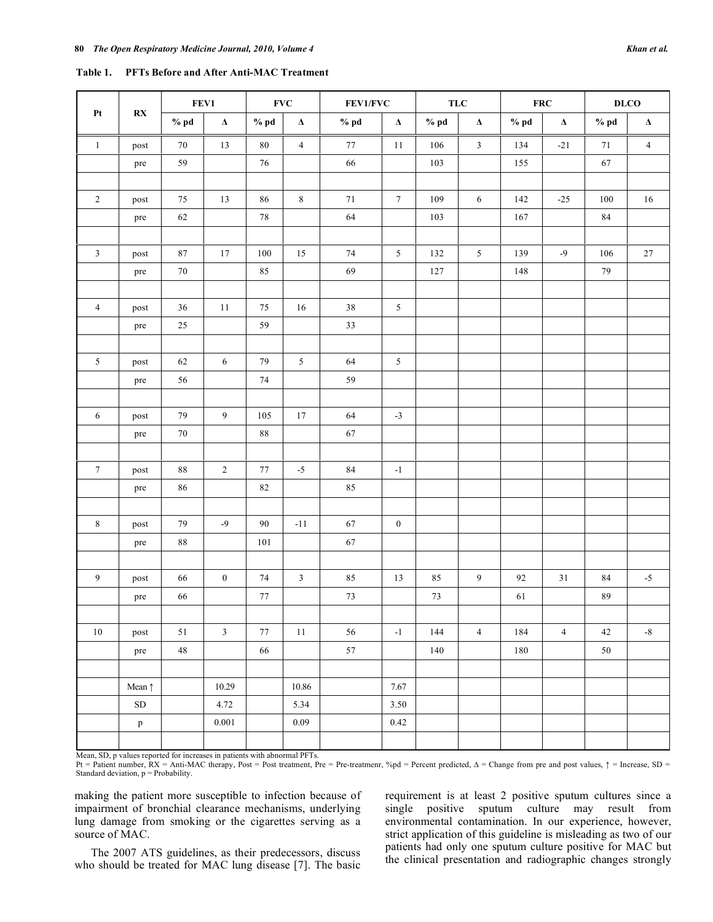|                | Table 1. PFTs Before and After Anti-MAC Treatment |        |                |                           |                |          |                 |            |                |            |                |                 |                |
|----------------|---------------------------------------------------|--------|----------------|---------------------------|----------------|----------|-----------------|------------|----------------|------------|----------------|-----------------|----------------|
|                | $\mathbf{R} \mathbf{X}$                           | FEV1   |                | $\ensuremath{\text{FVC}}$ |                | FEV1/FVC |                 | <b>TLC</b> |                | <b>FRC</b> |                | D <sub>LO</sub> |                |
| Pt             |                                                   | $%$ pd | $\pmb{\Delta}$ | $%$ pd                    | $\pmb{\Delta}$ | $%$ pd   | $\pmb{\Delta}$  | $%$ pd     | $\pmb{\Delta}$ | $%$ pd     | $\pmb{\Delta}$ | $%$ pd          | $\Delta$       |
| $\mathbf{1}$   | post                                              | 70     | 13             | 80                        | $\overline{4}$ | 77       | 11              | 106        | $\mathfrak{Z}$ | 134        | $-21$          | 71              | $\overline{4}$ |
|                | pre                                               | 59     |                | 76                        |                | 66       |                 | 103        |                | 155        |                | 67              |                |
| 2              | post                                              | 75     | 13             | 86                        | 8              | 71       | $\overline{7}$  | 109        | 6              | 142        | $-25$          | 100             | 16             |
|                | pre                                               | 62     |                | 78                        |                | 64       |                 | 103        |                | 167        |                | 84              |                |
| $\mathfrak{Z}$ | post                                              | 87     | 17             | 100                       | 15             | 74       | 5               | 132        | 5              | 139        | $-9$           | 106             | 27             |
|                | pre                                               | 70     |                | 85                        |                | 69       |                 | 127        |                | 148        |                | 79              |                |
| $\overline{4}$ | post                                              | 36     | 11             | 75                        | 16             | $3\,8$   | $5\overline{)}$ |            |                |            |                |                 |                |
|                | pre                                               | $25\,$ |                | 59                        |                | 33       |                 |            |                |            |                |                 |                |
| 5              | post                                              | 62     | 6              | 79                        | 5              | 64       | 5               |            |                |            |                |                 |                |
|                | pre                                               | 56     |                | 74                        |                | 59       |                 |            |                |            |                |                 |                |
|                |                                                   |        |                |                           |                |          |                 |            |                |            |                |                 |                |
| 6              | post                                              | 79     | $\overline{9}$ | 105                       | 17             | 64       | $-3$            |            |                |            |                |                 |                |
|                | pre                                               | 70     |                | 88                        |                | 67       |                 |            |                |            |                |                 |                |
|                |                                                   |        |                |                           |                |          |                 |            |                |            |                |                 |                |

7 | post | 88 | 2 | 77 | -5 | 84 | -1

8 | post | 79 | -9 | 90 | -11 | 67 | 0

10.29 10.86 7.67

 $\begin{array}{|c|c|c|c|c|c|c|c|c|} \hline \text{SD} & 4.72 & 5.34 & 3.50 \\ \hline \end{array}$ p 0.001 0.09 0.42

pre 86 82 82

pre 88 101 67

Mean, SD, p values reported for increases in patients with abnormal PFTs.

Mean  $\uparrow$ 

Pt = Patient number,  $RX = Anti-MAC$  therapy, Post = Post treatment, Pre = Pre-treatmenr, %pd = Percent predicted,  $\Delta$  = Change from pre and post values,  $\uparrow$  = Increase, SD = Standard deviation,  $p =$  Probability.

9 post | 66 | 0 | 74 | 3 | 85 | 13 | 85 | 9 | 92 | 31 | 84 | -5

10 | post | 51 | 3 | 77 | 11 | 56 | -1 | 144 | 4 | 184 | 4 | 42 | -8

pre 66 77 7 73 73 73 61 89

pre 48 66 57 1 140 180 50

making the patient more susceptible to infection because of impairment of bronchial clearance mechanisms, underlying lung damage from smoking or the cigarettes serving as a source of MAC.

 The 2007 ATS guidelines, as their predecessors, discuss who should be treated for MAC lung disease [7]. The basic

requirement is at least 2 positive sputum cultures since a single positive sputum culture may result from environmental contamination. In our experience, however, strict application of this guideline is misleading as two of our patients had only one sputum culture positive for MAC but the clinical presentation and radiographic changes strongly